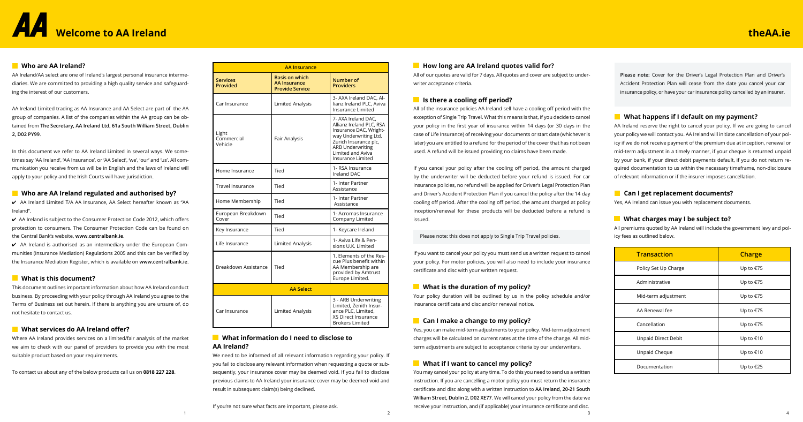# **Welcome to AA Ireland**

**Please note:** Cover for the Driver's Legal Protection Plan and Driver's Accident Protection Plan will cease from the date you cancel your car insurance policy, or have your car insurance policy cancelled by an insurer.

### **What happens if I default on my payment?**

AA Ireland reserve the right to cancel your policy. If we are going to cancel your policy we will contact you. AA Ireland will initiate cancellation of your policy if we do not receive payment of the premium due at inception, renewal or mid-term adjustment in a timely manner, if your cheque is returned unpaid by your bank, if your direct debit payments default, if you do not return required documentation to us within the necessary timeframe, non-disclosure of relevant information or if the insurer imposes cancellation.

### **Can I get replacement documents?**

Yes, AA Ireland can issue you with replacement documents.

### **What charges may I be subject to?**

All premiums quoted by AA Ireland will include the government levy and policy fees as outlined below.

All of our quotes are valid for 7 days. All quotes and cover are subject to underwriter acceptance criteria.

### **If** Is there a cooling off period?

You may cancel your policy at any time. To do this you need to send us a written instruction. If you are cancelling a motor policy you must return the insurance certificate and disc along with a written instruction to **AA Ireland, 20-21 South William Street, Dublin 2, D02 XE77**. We will cancel your policy from the date we receive your instruction, and (if applicable) your insurance certificate and disc. 1  $\frac{2}{3}$  4

All of the insurance policies AA Ireland sell have a cooling off period with the exception of Single Trip Travel. What this means is that, if you decide to cancel your policy in the first year of insurance within 14 days (or 30 days in the case of Life Insurance) of receiving your documents or start date (whichever is later) you are entitled to a refund for the period of the cover that has not been used. A refund will be issued providing no claims have been made.

If you cancel your policy after the cooling off period, the amount charged by the underwriter will be deducted before your refund is issued. For car insurance policies, no refund will be applied for Driver's Legal Protection Plan and Driver's Accident Protection Plan if you cancel the policy after the 14 day cooling off period. After the cooling off period, the amount charged at policy inception/renewal for these products will be deducted before a refund is issued.

### Please note: this does not apply to Single Trip Travel policies.

If you want to cancel your policy you must send us a written request to cancel your policy. For motor policies, you will also need to include your insurance certificate and disc with your written request.

### **What is the duration of my policy?**

 $\checkmark$  AA Ireland is authorised as an intermediary under the European Communities (Insurance Mediation) Regulations 2005 and this can be verified by the Insurance Mediation Register, which is available on **www.centralbank.ie**.

> Your policy duration will be outlined by us in the policy schedule and/or insurance certificate and disc and/or renewal notice.

### **Can I make a change to my policy?**

Yes, you can make mid-term adjustments to your policy. Mid-term adjustment charges will be calculated on current rates at the time of the change. All midterm adjustments are subject to acceptance criteria by our underwriters.

### **What if I want to cancel my policy?**

### **What information do I need to disclose to AA Ireland?**

We need to be informed of all relevant information regarding your policy. If you fail to disclose any relevant information when requesting a quote or subsequently, your insurance cover may be deemed void. If you fail to disclose previous claims to AA Ireland your insurance cover may be deemed void and result in subsequent claim(s) being declined.

If you're not sure what facts are important, please ask.

### **How long are AA Ireland quotes valid for?**

### **Who are AA Ireland?**

AA Ireland/AA select are one of Ireland's largest personal insurance intermediaries. We are committed to providing a high quality service and safeguarding the interest of our customers.

AA Ireland Limited trading as AA Insurance and AA Select are part of the AA group of companies. A list of the companies within the AA group can be obtained from **The Secretary, AA Ireland Ltd, 61a South William Street, Dublin 2, D02 PY99**.

In this document we refer to AA Ireland Limited in several ways. We sometimes say 'AA Ireland', 'AA Insurance', or 'AA Select', 'we', 'our' and 'us'. All communication you receive from us will be in English and the laws of Ireland will apply to your policy and the Irish Courts will have jurisdiction.

### **Who are AA Ireland regulated and authorised by?**

4 AA Ireland Limited T/A AA Insurance, AA Select hereafter known as "AA Ireland''.

4 AA Ireland is subject to the Consumer Protection Code 2012, which offers protection to consumers. The Consumer Protection Code can be found on the Central Bank's website, **www.centralbank.ie**.

### **What is this document?**

This document outlines important information about how AA Ireland conduct business. By proceeding with your policy through AA Ireland you agree to the Terms of Business set out herein. If there is anything you are unsure of, do not hesitate to contact us.

### **What services do AA Ireland offer?**

Where AA Ireland provides services on a limited/fair analysis of the market we aim to check with our panel of providers to provide you with the most suitable product based on your requirements.

To contact us about any of the below products call us on **0818 227 228**.

| <b>Transaction</b>         | Charge    |
|----------------------------|-----------|
| Policy Set Up Charge       | Up to €75 |
| Administrative             | Up to €75 |
| Mid-term adjustment        | Up to €75 |
| AA Renewal fee             | Up to €75 |
| Cancellation               | Up to €75 |
| <b>Unpaid Direct Debit</b> | Up to €10 |
| Unpaid Cheque              | Up to €10 |
| Documentation              | Up to €25 |

### **theAA.ie**

| <b>AA Insurance</b>            |                                                                        |                                                                                                                                                                                           |
|--------------------------------|------------------------------------------------------------------------|-------------------------------------------------------------------------------------------------------------------------------------------------------------------------------------------|
| <b>Services</b><br>Provided    | <b>Basis on which</b><br><b>AA Insurance</b><br><b>Provide Service</b> | Number of<br><b>Providers</b>                                                                                                                                                             |
| Car Insurance                  | Limited Analysis                                                       | 3- AXA Ireland DAC, Al-<br>lianz Ireland PLC. Aviva<br>Insurance Limited                                                                                                                  |
| Light<br>Commercial<br>Vehicle | <b>Fair Analysis</b>                                                   | 7- AXA Ireland DAC.<br>Allianz Ireland PLC, RSA<br>Insurance DAC, Wright-<br>way Underwriting Ltd,<br>Zurich Insurance plc,<br>ARB Underwriting<br>Limited and Aviva<br>Insurance Limited |
| Home Insurance                 | Tied                                                                   | 1- RSA Insurance<br>Ireland DAC                                                                                                                                                           |
| <b>Travel Insurance</b>        | Tied                                                                   | 1- Inter Partner<br>Assistance                                                                                                                                                            |
| Home Membership                | Tied                                                                   | 1- Inter Partner<br>Assistance                                                                                                                                                            |
| European Breakdown<br>Cover    | Tied                                                                   | 1- Acromas Insurance<br>Company Limited                                                                                                                                                   |
| Key Insurance                  | Tied                                                                   | 1- Keycare Ireland                                                                                                                                                                        |
| Life Insurance                 | <b>Limited Analysis</b>                                                | 1- Aviva Life & Pen-<br>sions U.K. Limited                                                                                                                                                |
| Breakdown Assistance           | Tied                                                                   | 1. Elements of the Res-<br>cue Plus benefit within<br>AA Membership are<br>provided by Amtrust<br>Europe Limited.                                                                         |
|                                | <b>AA Select</b>                                                       |                                                                                                                                                                                           |
| Car Insurance                  | <b>Limited Analysis</b>                                                | 3 - ARB Underwriting<br>Limited, Zenith Insur-<br>ance PLC, Limited,<br><b>XS Direct Insurance</b><br><b>Brokers Limited</b>                                                              |